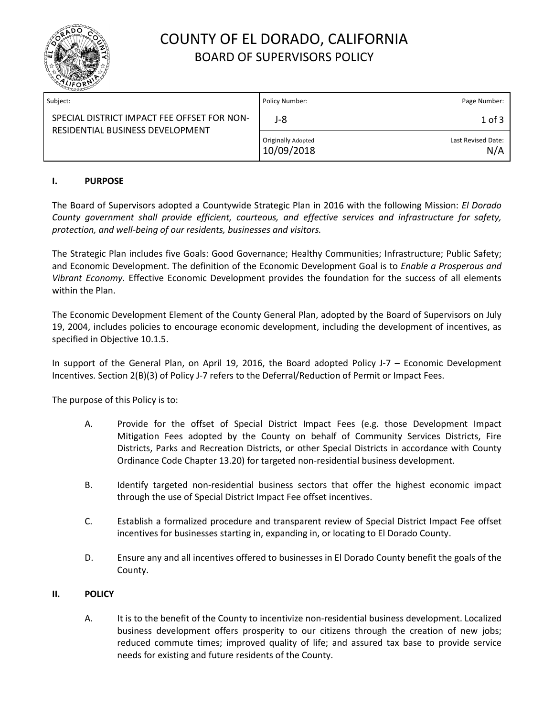

# COUNTY OF EL DORADO, CALIFORNIA BOARD OF SUPERVISORS POLICY

| Subject:                                                                        | Policy Number:                   | Page Number:              |
|---------------------------------------------------------------------------------|----------------------------------|---------------------------|
| SPECIAL DISTRICT IMPACT FEE OFFSET FOR NON-<br>RESIDENTIAL BUSINESS DEVELOPMENT | J-8                              | $1$ of $3$                |
|                                                                                 | Originally Adopted<br>10/09/2018 | Last Revised Date:<br>N/A |

### **I. PURPOSE**

The Board of Supervisors adopted a Countywide Strategic Plan in 2016 with the following Mission: *El Dorado County government shall provide efficient, courteous, and effective services and infrastructure for safety, protection, and well-being of our residents, businesses and visitors.*

The Strategic Plan includes five Goals: Good Governance; Healthy Communities; Infrastructure; Public Safety; and Economic Development. The definition of the Economic Development Goal is to *Enable a Prosperous and Vibrant Economy.* Effective Economic Development provides the foundation for the success of all elements within the Plan.

The Economic Development Element of the County General Plan, adopted by the Board of Supervisors on July 19, 2004, includes policies to encourage economic development, including the development of incentives, as specified in Objective 10.1.5.

In support of the General Plan, on April 19, 2016, the Board adopted Policy J-7 – Economic Development Incentives. Section 2(B)(3) of Policy J-7 refers to the Deferral/Reduction of Permit or Impact Fees.

The purpose of this Policy is to:

- A. Provide for the offset of Special District Impact Fees (e.g. those Development Impact Mitigation Fees adopted by the County on behalf of Community Services Districts, Fire Districts, Parks and Recreation Districts, or other Special Districts in accordance with County Ordinance Code Chapter 13.20) for targeted non-residential business development.
- B. Identify targeted non-residential business sectors that offer the highest economic impact through the use of Special District Impact Fee offset incentives.
- C. Establish a formalized procedure and transparent review of Special District Impact Fee offset incentives for businesses starting in, expanding in, or locating to El Dorado County.
- D. Ensure any and all incentives offered to businesses in El Dorado County benefit the goals of the County.

#### **II. POLICY**

A. It is to the benefit of the County to incentivize non-residential business development. Localized business development offers prosperity to our citizens through the creation of new jobs; reduced commute times; improved quality of life; and assured tax base to provide service needs for existing and future residents of the County.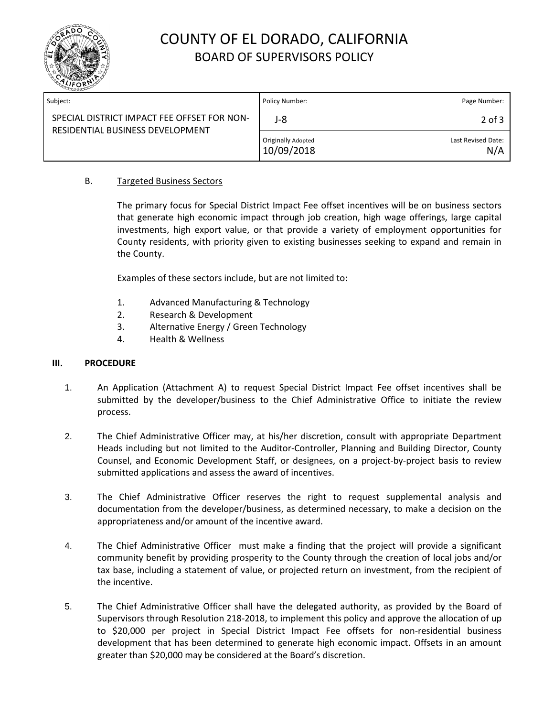

# COUNTY OF EL DORADO, CALIFORNIA BOARD OF SUPERVISORS POLICY

| Subject:                                                                        | Policy Number:                          | Page Number:              |
|---------------------------------------------------------------------------------|-----------------------------------------|---------------------------|
| SPECIAL DISTRICT IMPACT FEE OFFSET FOR NON-<br>RESIDENTIAL BUSINESS DEVELOPMENT | J-8                                     | $2$ of $3$                |
|                                                                                 | <b>Originally Adopted</b><br>10/09/2018 | Last Revised Date:<br>N/A |

### B. Targeted Business Sectors

The primary focus for Special District Impact Fee offset incentives will be on business sectors that generate high economic impact through job creation, high wage offerings, large capital investments, high export value, or that provide a variety of employment opportunities for County residents, with priority given to existing businesses seeking to expand and remain in the County.

Examples of these sectors include, but are not limited to:

- 1. Advanced Manufacturing & Technology
- 2. Research & Development
- 3. Alternative Energy / Green Technology
- 4. Health & Wellness

#### **III. PROCEDURE**

- 1. An Application (Attachment A) to request Special District Impact Fee offset incentives shall be submitted by the developer/business to the Chief Administrative Office to initiate the review process.
- 2. The Chief Administrative Officer may, at his/her discretion, consult with appropriate Department Heads including but not limited to the Auditor-Controller, Planning and Building Director, County Counsel, and Economic Development Staff, or designees, on a project-by-project basis to review submitted applications and assess the award of incentives.
- 3. The Chief Administrative Officer reserves the right to request supplemental analysis and documentation from the developer/business, as determined necessary, to make a decision on the appropriateness and/or amount of the incentive award.
- 4. The Chief Administrative Officer must make a finding that the project will provide a significant community benefit by providing prosperity to the County through the creation of local jobs and/or tax base, including a statement of value, or projected return on investment, from the recipient of the incentive.
- 5. The Chief Administrative Officer shall have the delegated authority, as provided by the Board of Supervisors through Resolution 218-2018, to implement this policy and approve the allocation of up to \$20,000 per project in Special District Impact Fee offsets for non-residential business development that has been determined to generate high economic impact. Offsets in an amount greater than \$20,000 may be considered at the Board's discretion.